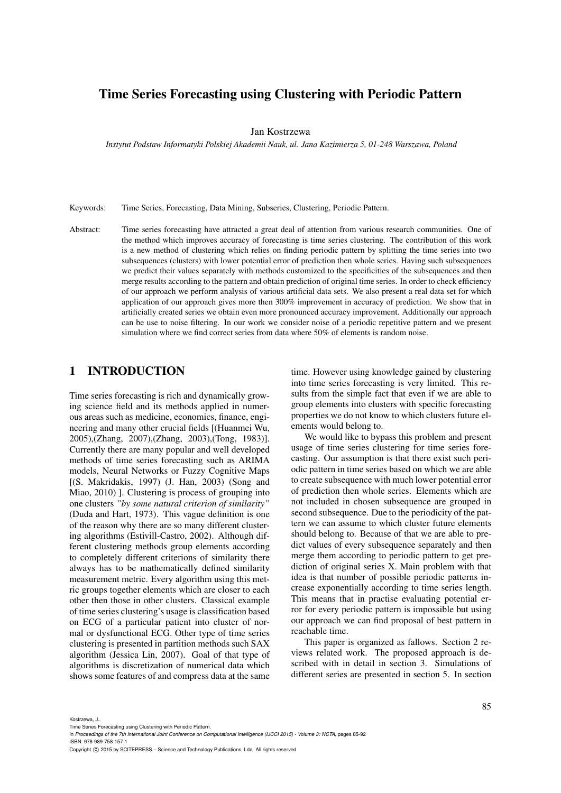# Time Series Forecasting using Clustering with Periodic Pattern

Jan Kostrzewa

*Instytut Podstaw Informatyki Polskiej Akademii Nauk, ul. Jana Kazimierza 5, 01-248 Warszawa, Poland*

Keywords: Time Series, Forecasting, Data Mining, Subseries, Clustering, Periodic Pattern.

Abstract: Time series forecasting have attracted a great deal of attention from various research communities. One of the method which improves accuracy of forecasting is time series clustering. The contribution of this work is a new method of clustering which relies on finding periodic pattern by splitting the time series into two subsequences (clusters) with lower potential error of prediction then whole series. Having such subsequences we predict their values separately with methods customized to the specificities of the subsequences and then merge results according to the pattern and obtain prediction of original time series. In order to check efficiency of our approach we perform analysis of various artificial data sets. We also present a real data set for which application of our approach gives more then 300% improvement in accuracy of prediction. We show that in artificially created series we obtain even more pronounced accuracy improvement. Additionally our approach can be use to noise filtering. In our work we consider noise of a periodic repetitive pattern and we present simulation where we find correct series from data where 50% of elements is random noise.

### 1 INTRODUCTION

Time series forecasting is rich and dynamically growing science field and its methods applied in numerous areas such as medicine, economics, finance, engineering and many other crucial fields [(Huanmei Wu, 2005),(Zhang, 2007),(Zhang, 2003),(Tong, 1983)]. Currently there are many popular and well developed methods of time series forecasting such as ARIMA models, Neural Networks or Fuzzy Cognitive Maps [(S. Makridakis, 1997) (J. Han, 2003) (Song and Miao, 2010) ]. Clustering is process of grouping into one clusters *"by some natural criterion of similarity"* (Duda and Hart, 1973). This vague definition is one of the reason why there are so many different clustering algorithms (Estivill-Castro, 2002). Although different clustering methods group elements according to completely different criterions of similarity there always has to be mathematically defined similarity measurement metric. Every algorithm using this metric groups together elements which are closer to each other then those in other clusters. Classical example of time series clustering's usage is classification based on ECG of a particular patient into cluster of normal or dysfunctional ECG. Other type of time series clustering is presented in partition methods such SAX algorithm (Jessica Lin, 2007). Goal of that type of algorithms is discretization of numerical data which shows some features of and compress data at the same

time. However using knowledge gained by clustering into time series forecasting is very limited. This results from the simple fact that even if we are able to group elements into clusters with specific forecasting properties we do not know to which clusters future elements would belong to.

We would like to bypass this problem and present usage of time series clustering for time series forecasting. Our assumption is that there exist such periodic pattern in time series based on which we are able to create subsequence with much lower potential error of prediction then whole series. Elements which are not included in chosen subsequence are grouped in second subsequence. Due to the periodicity of the pattern we can assume to which cluster future elements should belong to. Because of that we are able to predict values of every subsequence separately and then merge them according to periodic pattern to get prediction of original series X. Main problem with that idea is that number of possible periodic patterns increase exponentially according to time series length. This means that in practise evaluating potential error for every periodic pattern is impossible but using our approach we can find proposal of best pattern in reachable time.

This paper is organized as fallows. Section 2 reviews related work. The proposed approach is described with in detail in section 3. Simulations of different series are presented in section 5. In section

Kostrzewa, J..

Copyright © 2015 by SCITEPRESS - Science and Technology Publications, Lda. All rights reserved

Time Series Forecasting using Clustering with Periodic Pattern.

In *Proceedings of the 7th International Joint Conference on Computational Intelligence (IJCCI 2015) - Volume 3: NCTA*, pages 85-92 ISBN: 978-989-758-157-1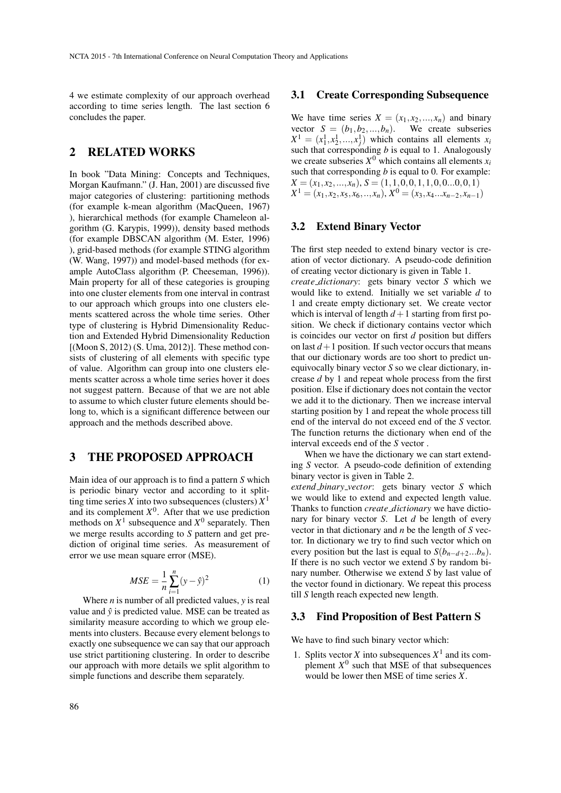4 we estimate complexity of our approach overhead according to time series length. The last section 6 concludes the paper.

### 2 RELATED WORKS

In book "Data Mining: Concepts and Techniques, Morgan Kaufmann." (J. Han, 2001) are discussed five major categories of clustering: partitioning methods (for example k-mean algorithm (MacQueen, 1967) ), hierarchical methods (for example Chameleon algorithm (G. Karypis, 1999)), density based methods (for example DBSCAN algorithm (M. Ester, 1996) ), grid-based methods (for example STING algorithm (W. Wang, 1997)) and model-based methods (for example AutoClass algorithm (P. Cheeseman, 1996)). Main property for all of these categories is grouping into one cluster elements from one interval in contrast to our approach which groups into one clusters elements scattered across the whole time series. Other type of clustering is Hybrid Dimensionality Reduction and Extended Hybrid Dimensionality Reduction [(Moon S, 2012) (S. Uma, 2012)]. These method consists of clustering of all elements with specific type of value. Algorithm can group into one clusters elements scatter across a whole time series hover it does not suggest pattern. Because of that we are not able to assume to which cluster future elements should belong to, which is a significant difference between our approach and the methods described above.

### 3 THE PROPOSED APPROACH

Main idea of our approach is to find a pattern *S* which is periodic binary vector and according to it splitting time series *X* into two subsequences (clusters)  $X<sup>1</sup>$ and its complement  $X^0$ . After that we use prediction methods on  $X^1$  subsequence and  $X^0$  separately. Then we merge results according to *S* pattern and get prediction of original time series. As measurement of error we use mean square error (MSE).

$$
MSE = \frac{1}{n} \sum_{i=1}^{n} (y - \hat{y})^2
$$
 (1)

Where *n* is number of all predicted values, *y* is real value and  $\hat{y}$  is predicted value. MSE can be treated as similarity measure according to which we group elements into clusters. Because every element belongs to exactly one subsequence we can say that our approach use strict partitioning clustering. In order to describe our approach with more details we split algorithm to simple functions and describe them separately.

#### 3.1 Create Corresponding Subsequence

We have time series  $X = (x_1, x_2, ..., x_n)$  and binary vector  $S = (b_1, b_2, ..., b_n)$ . We create subseries vector  $S = (b_1, b_2, ..., b_n)$ .  $X^1 = (x_1^1, x_2^1, \dots, x_j^1)$  which contains all elements  $x_i$ such that corresponding *b* is equal to 1. Analogously we create subseries  $X^0$  which contains all elements  $x_i$ such that corresponding *b* is equal to 0. For example:  $X = (x_1, x_2, \ldots, x_n), S = (1, 1, 0, 0, 1, 1, 0, 0, \ldots, 0, 0, 1)$  $X^1 = (x_1, x_2, x_5, x_6, \ldots, x_n), X^0 = (x_3, x_4 \ldots x_{n-2}, x_{n-1})$ 

#### 3.2 Extend Binary Vector

The first step needed to extend binary vector is creation of vector dictionary. A pseudo-code definition of creating vector dictionary is given in Table 1. *create dictionary*: gets binary vector *S* which we would like to extend. Initially we set variable *d* to 1 and create empty dictionary set. We create vector which is interval of length  $d+1$  starting from first position. We check if dictionary contains vector which is coincides our vector on first *d* position but differs on last  $d+1$  position. If such vector occurs that means that our dictionary words are too short to predict unequivocally binary vector *S* so we clear dictionary, increase *d* by 1 and repeat whole process from the first position. Else if dictionary does not contain the vector we add it to the dictionary. Then we increase interval starting position by 1 and repeat the whole process till end of the interval do not exceed end of the *S* vector. The function returns the dictionary when end of the interval exceeds end of the *S* vector .

When we have the dictionary we can start extending *S* vector. A pseudo-code definition of extending binary vector is given in Table 2.

*extend binary vector*: gets binary vector *S* which we would like to extend and expected length value. Thanks to function *create dictionary* we have dictionary for binary vector *S*. Let *d* be length of every vector in that dictionary and *n* be the length of *S* vector. In dictionary we try to find such vector which on every position but the last is equal to  $S(b_{n-d+2}...b_n)$ . If there is no such vector we extend *S* by random binary number. Otherwise we extend *S* by last value of the vector found in dictionary. We repeat this process till *S* length reach expected new length.

#### 3.3 Find Proposition of Best Pattern S

We have to find such binary vector which:

1. Splits vector *X* into subsequences  $X^1$  and its complement  $X^0$  such that MSE of that subsequences would be lower then MSE of time series *X*.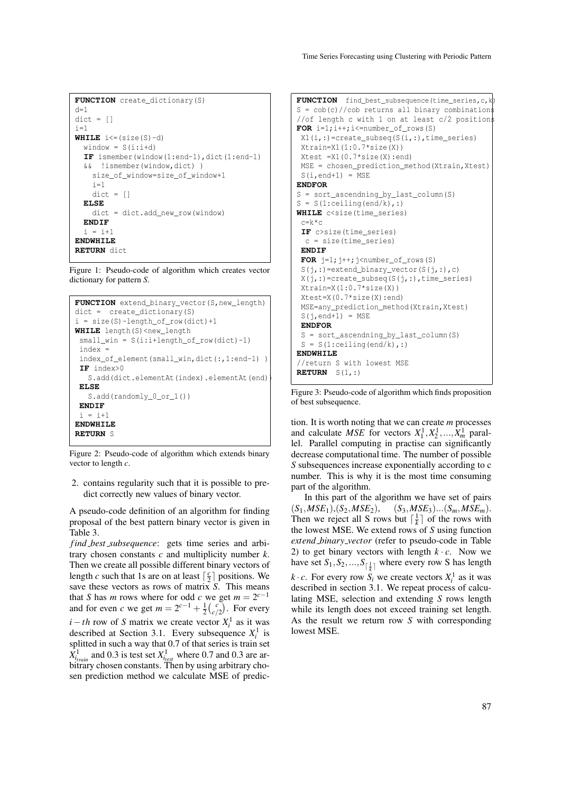```
FUNCTION create dictionary(S)
d=1dict = []i=1WHILE i \leq (size(S)-d)window = S(i:i+d)IF ismember(window(1:end-1),dict(1:end-1)
  && !ismember(window,dict) )
    size_of_window=size_of_window+1
    i=1dict = []ELSE
    dict = dict.add_new_row(window)
  ENDIF
  i = i+1ENDWHILE
RETURN dict
```
Figure 1: Pseudo-code of algorithm which creates vector dictionary for pattern *S*.

```
FUNCTION extend_binary_vector(S,new_length)
dict = create_dictionary(S)
i = size(S)-length_of_row(dict)+1
WHILE length(S)<new_length
small\_win = S(i:i+length_of\_row(dict)-1)index =
 index_of_element(small_win,dict(:,1:end-1) )
IF index>0
   S.add(dict.elementAt(index).elementAt(end))
ELSE
   S.add(randomly_0_or_1())
ENDIF
i = i+1ENDWHILE
RETURN S
```
Figure 2: Pseudo-code of algorithm which extends binary vector to length *c*.

2. contains regularity such that it is possible to predict correctly new values of binary vector.

A pseudo-code definition of an algorithm for finding proposal of the best pattern binary vector is given in Table 3.

*f ind best subsequence*: gets time series and arbitrary chosen constants *c* and multiplicity number *k*. Then we create all possible different binary vectors of length *c* such that 1s are on at least  $\lceil \frac{c}{2} \rceil$  positions. We save these vectors as rows of matrix *S*. This means that *S* has *m* rows where for odd *c* we get  $m = 2^{c-1}$ and for even *c* we get  $m = 2^{c-1} + \frac{1}{2} {c \choose c/2}$ . For every *i* − *th* row of *S* matrix we create vector  $X_i^1$  as it was described at Section 3.1. Every subsequence  $X_i^1$  is splitted in such a way that 0.7 of that series is train set  $X<sup>1</sup><sub>*train*</sub>$  and 0.3 is test set  $X<sup>1</sup><sub>*test*</sub>$  where 0.7 and 0.3 are arbitrary chosen constants. Then by using arbitrary chosen prediction method we calculate MSE of predic-

```
FUNCTION find best subsequence (time series, c, k)
S = \cosh(c) //cob returns all binary combinations
//of length c with 1 on at least c/2 positions
FOR i=1; i++; i<=number_of_rows(S)X1(i,:)=\text{create\_subseq}(S(i,:),\text{time\_series})Xtrain=X1(1:0.7*size(X))Xtest = X1(0.7 * size(X):end)MSE = chosen_prediction_method(Xtrain, Xtest)
 S(i, end+1) = MSEENDFOR
S = sort_ascendning_by_last_column(S)
S = S(1:ceiling(end/k),:WHILE c<size(time_series)
 c=k*c
 IF c>size(time_series)
 c = size(time_series)
 ENDIF
 FOR j=1; j++; j<number_of_rows(S)
 S(j,:)=extend_binary_vector(S(j,:),c)
 X(j,:)=\text{create\_subseq}(S(j,:),\text{time\_series})Xtrain=X(1:0.7*size(X))Xtest=X(0.7*size(X):end)
 MSE=any prediction method(Xtrain,Xtest)
 S(i, end+1) = MSEENDFOR
 S = sort_ascendning_by_last_column(S)
 S = S(1:ceiling(end/k),:ENDWHILE
//return S with lowest MSE
RETURN S(1,:)
```
Figure 3: Pseudo-code of algorithm which finds proposition of best subsequence.

tion. It is worth noting that we can create *m* processes and calculate *MSE* for vectors  $X_1^1, X_2^1, ..., X_m^1$  parallel. Parallel computing in practise can significantly decrease computational time. The number of possible *S* subsequences increase exponentially according to c number. This is why it is the most time consuming part of the algorithm.

In this part of the algorithm we have set of pairs  $(S_1, MSE_1), (S_2, MSE_2), (S_3, MSE_3)...(S_m, MSE_m).$ Then we reject all S rows but  $\lceil \frac{1}{k} \rceil$  of the rows with the lowest MSE. We extend rows of *S* using function *extend binary vector* (refer to pseudo-code in Table 2) to get binary vectors with length  $k \cdot c$ . Now we have set  $S_1, S_2, ..., S_{\lceil \frac{1}{k} \rceil}$  where every row S has length *k* · *c*. For every row  $S_i$  we create vectors  $X_i^1$  as it was described in section 3.1. We repeat process of calculating MSE, selection and extending *S* rows length while its length does not exceed training set length. As the result we return row *S* with corresponding lowest MSE.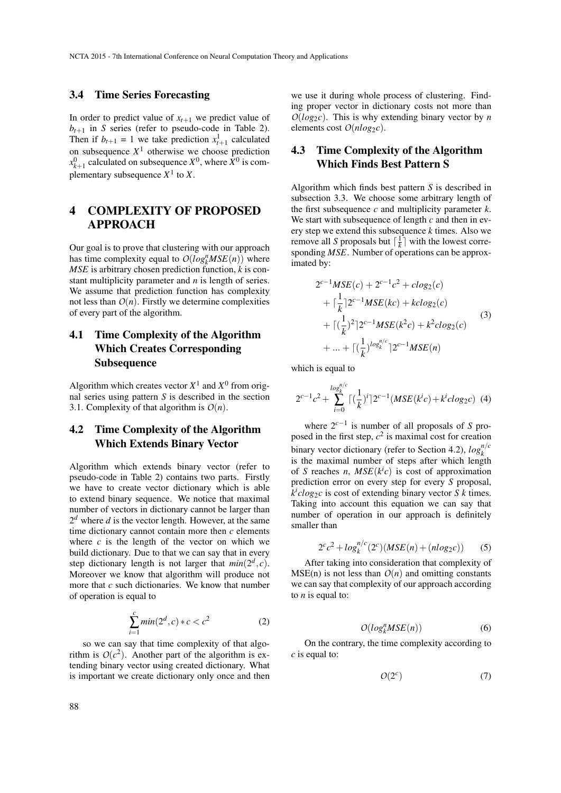#### 3.4 Time Series Forecasting

In order to predict value of  $x_{t+1}$  we predict value of  $b_{t+1}$  in *S* series (refer to pseudo-code in Table 2). Then if  $b_{t+1} = 1$  we take prediction  $x_{t+1}^1$  calculated on subsequence  $X<sup>1</sup>$  otherwise we choose prediction  $x_{k+1}^0$  calculated on subsequence  $X^0$ , where  $X^0$  is complementary subsequence  $X^1$  to X.

# 4 COMPLEXITY OF PROPOSED APPROACH

Our goal is to prove that clustering with our approach has time complexity equal to  $O(log_k^n MSE(n))$  where *MSE* is arbitrary chosen prediction function, *k* is constant multiplicity parameter and *n* is length of series. We assume that prediction function has complexity not less than  $O(n)$ . Firstly we determine complexities of every part of the algorithm.

# 4.1 Time Complexity of the Algorithm Which Creates Corresponding Subsequence

Algorithm which creates vector  $X^1$  and  $X^0$  from orignal series using pattern *S* is described in the section 3.1. Complexity of that algorithm is  $O(n)$ .

## 4.2 Time Complexity of the Algorithm Which Extends Binary Vector

Algorithm which extends binary vector (refer to pseudo-code in Table 2) contains two parts. Firstly we have to create vector dictionary which is able to extend binary sequence. We notice that maximal number of vectors in dictionary cannot be larger than  $2<sup>d</sup>$  where *d* is the vector length. However, at the same time dictionary cannot contain more then *c* elements where  $c$  is the length of the vector on which we build dictionary. Due to that we can say that in every step dictionary length is not larger that  $min(2^d, c)$ . Moreover we know that algorithm will produce not more that *c* such dictionaries. We know that number of operation is equal to

$$
\sum_{i=1}^{c} \min(2^d, c) * c < c^2 \tag{2}
$$

so we can say that time complexity of that algorithm is  $O(c^2)$ . Another part of the algorithm is extending binary vector using created dictionary. What is important we create dictionary only once and then

we use it during whole process of clustering. Finding proper vector in dictionary costs not more than *O*(*log*2*c*). This is why extending binary vector by *n* elements cost  $O(n \log_2 c)$ .

## 4.3 Time Complexity of the Algorithm Which Finds Best Pattern S

Algorithm which finds best pattern *S* is described in subsection 3.3. We choose some arbitrary length of the first subsequence *c* and multiplicity parameter *k*. We start with subsequence of length *c* and then in every step we extend this subsequence *k* times. Also we remove all *S* proposals but  $\left[\frac{1}{k}\right]$  with the lowest corresponding *MSE*. Number of operations can be approximated by:

$$
2^{c-1}MSE(c) + 2^{c-1}c^2 + clog_2(c)
$$
  
+  $\lceil \frac{1}{k} \rceil 2^{c-1}MSE(kc) + k clog_2(c)$   
+  $\lceil (\frac{1}{k})^2 \rceil 2^{c-1}MSE(k^2c) + k^2 clog_2(c)$   
+ ... +  $\lceil (\frac{1}{k})^{\log_k^{n/c}} \rceil 2^{c-1}MSE(n)$  (3)

which is equal to

$$
2^{c-1}c^2 + \sum_{i=0}^{\log_k^{n/c}} \lceil (\frac{1}{k})^i \rceil 2^{c-1} (MSE(k^ic) + k^iclog_2c) \tag{4}
$$

where 2*c*−<sup>1</sup> is number of all proposals of *S* proposed in the first step,  $c^2$  is maximal cost for creation binary vector dictionary (refer to Section 4.2),  $log<sub>k</sub><sup>n/c</sup>$ is the maximal number of steps after which length of *S* reaches *n*,  $MSE(k<sup>i</sup>c)$  is cost of approximation prediction error on every step for every *S* proposal,  $k<sup>i</sup> c log<sub>2</sub> c$  is cost of extending binary vector *S k* times. Taking into account this equation we can say that number of operation in our approach is definitely smaller than

$$
2^{c}c^{2} + log_{k}^{n/c}(2^{c})(MSE(n) + (nlog_{2}c))
$$
 (5)

After taking into consideration that complexity of  $MSE(n)$  is not less than  $O(n)$  and omitting constants we can say that complexity of our approach according to *n* is equal to:

$$
O(log_k^n MSE(n))\tag{6}
$$

On the contrary, the time complexity according to *c* is equal to:

$$
O(2^c) \tag{7}
$$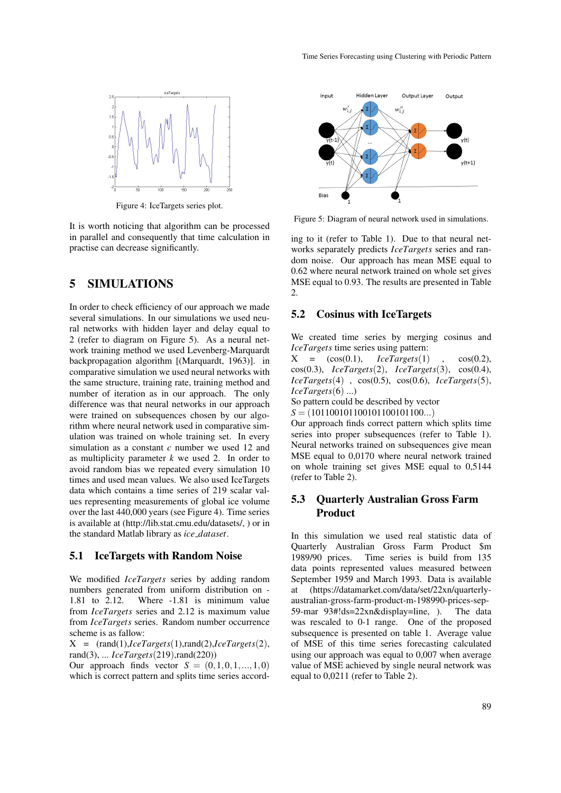

Figure 4: IceTargets series plot.

It is worth noticing that algorithm can be processed in parallel and consequently that time calculation in practise can decrease significantly.

### 5 SIMULATIONS

In order to check efficiency of our approach we made several simulations. In our simulations we used neural networks with hidden layer and delay equal to 2 (refer to diagram on Figure 5). As a neural network training method we used Levenberg-Marquardt backpropagation algorithm [(Marquardt, 1963)]. in comparative simulation we used neural networks with the same structure, training rate, training method and number of iteration as in our approach. The only difference was that neural networks in our approach were trained on subsequences chosen by our algorithm where neural network used in comparative simulation was trained on whole training set. In every simulation as a constant *c* number we used 12 and as multiplicity parameter *k* we used 2. In order to avoid random bias we repeated every simulation 10 times and used mean values. We also used IceTargets data which contains a time series of 219 scalar values representing measurements of global ice volume over the last 440,000 years (see Figure 4). Time series is available at (http://lib.stat.cmu.edu/datasets/, ) or in the standard Matlab library as *ice dataset*.

#### 5.1 IceTargets with Random Noise

We modified *IceTargets* series by adding random numbers generated from uniform distribution on - 1.81 to 2.12. Where -1.81 is minimum value from *IceTargets* series and 2.12 is maximum value from *IceTargets* series. Random number occurrence scheme is as fallow:

 $X = (rand(1), IceTargets(1),rand(2), IceTargets(2)),$ rand(3), ... *IceTargets*(219),rand(220))

Our approach finds vector  $S = (0,1,0,1,...,1,0)$ which is correct pattern and splits time series accord-



Figure 5: Diagram of neural network used in simulations.

ing to it (refer to Table 1). Due to that neural networks separately predicts *IceTargets* series and random noise. Our approach has mean MSE equal to 0.62 where neural network trained on whole set gives MSE equal to 0.93. The results are presented in Table  $2^{\circ}$ 

#### 5.2 Cosinus with IceTargets

We created time series by merging cosinus and *IceTargets* time series using pattern:

 $X = (\cos(0.1), \quad \text{Ic}eTargets(1), \quad \cos(0.2),$ cos(0.3), *IceTargets*(2), *IceTargets*(3), cos(0.4), *IceTargets*(4) , cos(0.5), cos(0.6), *IceTargets*(5), *IceTargets*(6) ...)

So pattern could be described by vector

*S* = (101100101100101100101100...)

Our approach finds correct pattern which splits time series into proper subsequences (refer to Table 1). Neural networks trained on subsequences give mean MSE equal to 0,0170 where neural network trained on whole training set gives MSE equal to 0,5144 (refer to Table 2).

### 5.3 Quarterly Australian Gross Farm Product

In this simulation we used real statistic data of Quarterly Australian Gross Farm Product \$m 1989/90 prices. Time series is build from 135 data points represented values measured between September 1959 and March 1993. Data is available at (https://datamarket.com/data/set/22xn/quarterlyaustralian-gross-farm-product-m-198990-prices-sep-59-mar 93#!ds=22xn&display=line, ). The data was rescaled to 0-1 range. One of the proposed subsequence is presented on table 1. Average value of MSE of this time series forecasting calculated using our approach was equal to 0,007 when average value of MSE achieved by single neural network was equal to 0,0211 (refer to Table 2).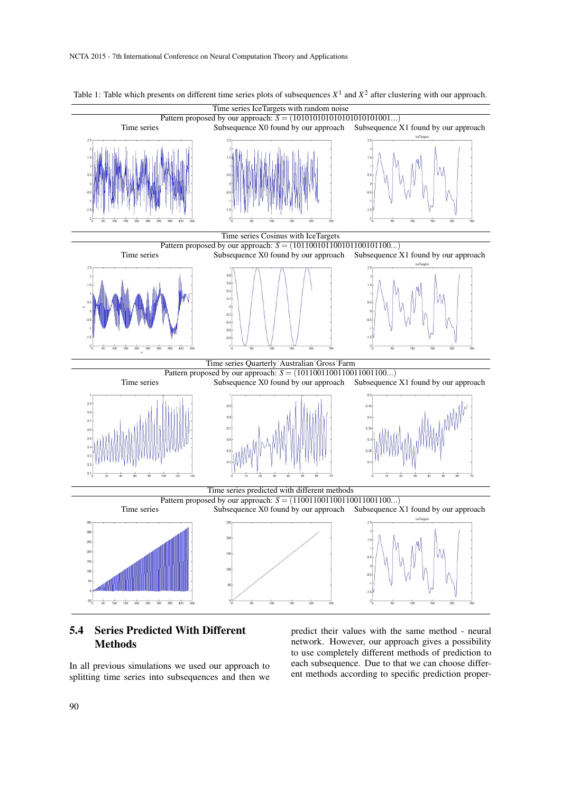

Table 1: Table which presents on different time series plots of subsequences  $X^1$  and  $X^2$  after clustering with our approach.

# 5.4 Series Predicted With Different **Methods**

In all previous simulations we used our approach to splitting time series into subsequences and then we predict their values with the same method - neural network. However, our approach gives a possibility to use completely different methods of prediction to each subsequence. Due to that we can choose different methods according to specific prediction proper-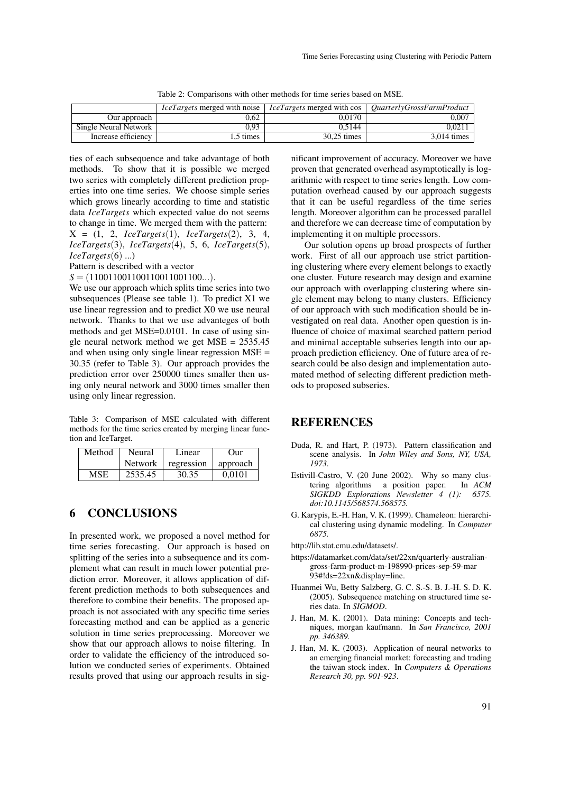Table 2: Comparisons with other methods for time series based on MSE.

|                       | <i>IceTargets</i> merged with noise | <i>IceTargets</i> merged with cos | <i>OuarterlyGrossFarmProduct</i> |
|-----------------------|-------------------------------------|-----------------------------------|----------------------------------|
| Our approach          | ).62                                | 0.0170                            | 0.007                            |
| Single Neural Network | 0.93                                | 0.5144                            | 0.0211                           |
| Increase efficiency   | 5 times                             | 30.25 times                       | 3.014 times                      |

ties of each subsequence and take advantage of both methods. To show that it is possible we merged two series with completely different prediction properties into one time series. We choose simple series which grows linearly according to time and statistic data *IceTargets* which expected value do not seems to change in time. We merged them with the pattern: X = (1, 2, *IceTargets*(1), *IceTargets*(2), 3, 4, *IceTargets*(3), *IceTargets*(4), 5, 6, *IceTargets*(5), *IceTargets*(6) ...)

Pattern is described with a vector

 $S = (110011001100110011001100...).$ 

We use our approach which splits time series into two subsequences (Please see table 1). To predict X1 we use linear regression and to predict X0 we use neural network. Thanks to that we use advanteges of both methods and get MSE=0.0101. In case of using single neural network method we get MSE = 2535.45 and when using only single linear regression MSE = 30.35 (refer to Table 3). Our approach provides the prediction error over 250000 times smaller then using only neural network and 3000 times smaller then using only linear regression.

Table 3: Comparison of MSE calculated with different methods for the time series created by merging linear function and IceTarget.

| Method     | Neural  | Linear     | $_{\rm Our}$ |
|------------|---------|------------|--------------|
|            | Network | regression | approach     |
| <b>MSE</b> | 2535.45 | 30.35      | 0.0101       |

## 6 CONCLUSIONS

In presented work, we proposed a novel method for time series forecasting. Our approach is based on splitting of the series into a subsequence and its complement what can result in much lower potential prediction error. Moreover, it allows application of different prediction methods to both subsequences and therefore to combine their benefits. The proposed approach is not associated with any specific time series forecasting method and can be applied as a generic solution in time series preprocessing. Moreover we show that our approach allows to noise filtering. In order to validate the efficiency of the introduced solution we conducted series of experiments. Obtained results proved that using our approach results in significant improvement of accuracy. Moreover we have proven that generated overhead asymptotically is logarithmic with respect to time series length. Low computation overhead caused by our approach suggests that it can be useful regardless of the time series length. Moreover algorithm can be processed parallel and therefore we can decrease time of computation by implementing it on multiple processors.

Our solution opens up broad prospects of further work. First of all our approach use strict partitioning clustering where every element belongs to exactly one cluster. Future research may design and examine our approach with overlapping clustering where single element may belong to many clusters. Efficiency of our approach with such modification should be investigated on real data. Another open question is influence of choice of maximal searched pattern period and minimal acceptable subseries length into our approach prediction efficiency. One of future area of research could be also design and implementation automated method of selecting different prediction methods to proposed subseries.

#### **REFERENCES**

- Duda, R. and Hart, P. (1973). Pattern classification and scene analysis. In *John Wiley and Sons, NY, USA, 1973*.
- Estivill-Castro, V. (20 June 2002). Why so many clustering algorithms a position paper. In *ACM SIGKDD Explorations Newsletter 4 (1): 6575. doi:10.1145/568574.568575.*
- G. Karypis, E.-H. Han, V. K. (1999). Chameleon: hierarchical clustering using dynamic modeling. In *Computer 6875.*

http://lib.stat.cmu.edu/datasets/.

- https://datamarket.com/data/set/22xn/quarterly-australiangross-farm-product-m-198990-prices-sep-59-mar 93#!ds=22xn&display=line.
- Huanmei Wu, Betty Salzberg, G. C. S.-S. B. J.-H. S. D. K. (2005). Subsequence matching on structured time series data. In *SIGMOD*.
- J. Han, M. K. (2001). Data mining: Concepts and techniques, morgan kaufmann. In *San Francisco, 2001 pp. 346389.*
- J. Han, M. K. (2003). Application of neural networks to an emerging financial market: forecasting and trading the taiwan stock index. In *Computers & Operations Research 30, pp. 901-923*.